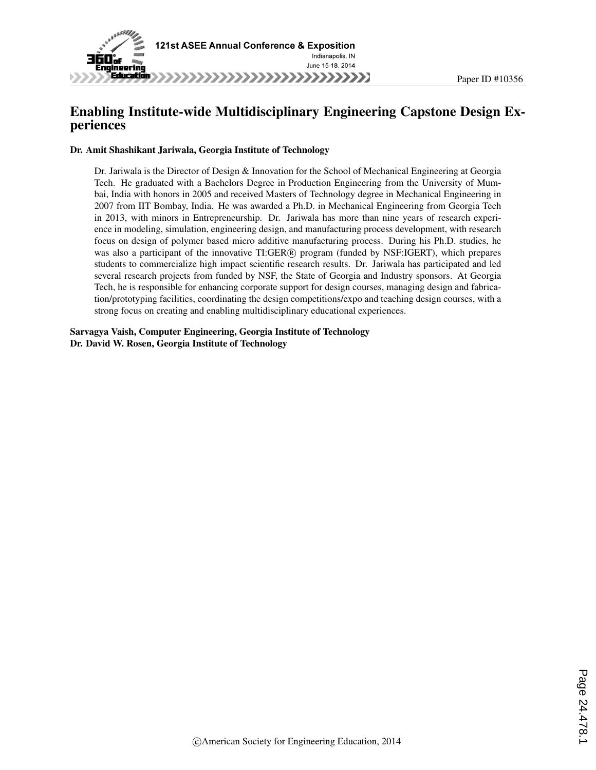

# Enabling Institute-wide Multidisciplinary Engineering Capstone Design Experiences

#### Dr. Amit Shashikant Jariwala, Georgia Institute of Technology

Dr. Jariwala is the Director of Design & Innovation for the School of Mechanical Engineering at Georgia Tech. He graduated with a Bachelors Degree in Production Engineering from the University of Mumbai, India with honors in 2005 and received Masters of Technology degree in Mechanical Engineering in 2007 from IIT Bombay, India. He was awarded a Ph.D. in Mechanical Engineering from Georgia Tech in 2013, with minors in Entrepreneurship. Dr. Jariwala has more than nine years of research experience in modeling, simulation, engineering design, and manufacturing process development, with research focus on design of polymer based micro additive manufacturing process. During his Ph.D. studies, he was also a participant of the innovative TI:GER® program (funded by NSF:IGERT), which prepares students to commercialize high impact scientific research results. Dr. Jariwala has participated and led several research projects from funded by NSF, the State of Georgia and Industry sponsors. At Georgia Tech, he is responsible for enhancing corporate support for design courses, managing design and fabrication/prototyping facilities, coordinating the design competitions/expo and teaching design courses, with a strong focus on creating and enabling multidisciplinary educational experiences.

Sarvagya Vaish, Computer Engineering, Georgia Institute of Technology Dr. David W. Rosen, Georgia Institute of Technology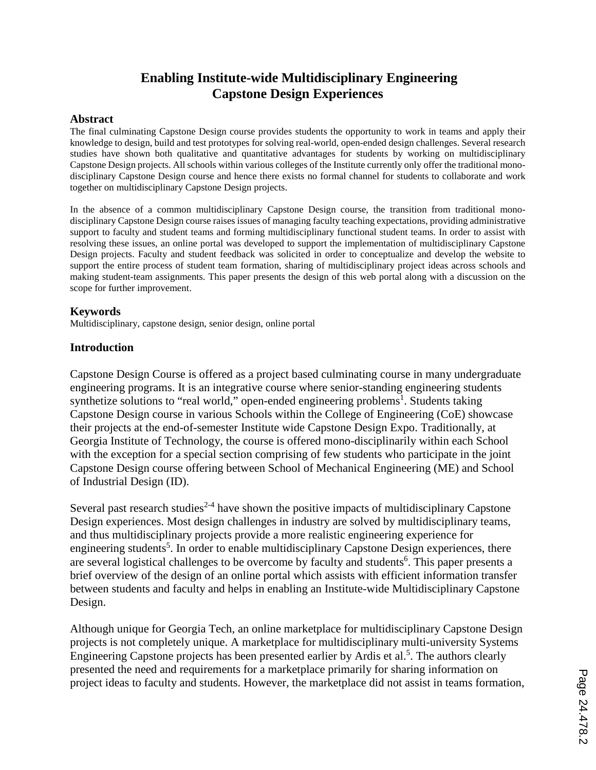# **Enabling Institute-wide Multidisciplinary Engineering Capstone Design Experiences**

#### **Abstract**

The final culminating Capstone Design course provides students the opportunity to work in teams and apply their knowledge to design, build and test prototypes for solving real-world, open-ended design challenges. Several research studies have shown both qualitative and quantitative advantages for students by working on multidisciplinary Capstone Design projects. All schools within various colleges of the Institute currently only offer the traditional monodisciplinary Capstone Design course and hence there exists no formal channel for students to collaborate and work together on multidisciplinary Capstone Design projects.

In the absence of a common multidisciplinary Capstone Design course, the transition from traditional monodisciplinary Capstone Design course raises issues of managing faculty teaching expectations, providing administrative support to faculty and student teams and forming multidisciplinary functional student teams. In order to assist with resolving these issues, an online portal was developed to support the implementation of multidisciplinary Capstone Design projects. Faculty and student feedback was solicited in order to conceptualize and develop the website to support the entire process of student team formation, sharing of multidisciplinary project ideas across schools and making student-team assignments. This paper presents the design of this web portal along with a discussion on the scope for further improvement.

#### **Keywords**

Multidisciplinary, capstone design, senior design, online portal

#### **Introduction**

Capstone Design Course is offered as a project based culminating course in many undergraduate engineering programs. It is an integrative course where senior-standing engineering students synthetize solutions to "real world," open-ended engineering problems<sup>1</sup>. Students taking Capstone Design course in various Schools within the College of Engineering (CoE) showcase their projects at the end-of-semester Institute wide Capstone Design Expo. Traditionally, at Georgia Institute of Technology, the course is offered mono-disciplinarily within each School with the exception for a special section comprising of few students who participate in the joint Capstone Design course offering between School of Mechanical Engineering (ME) and School of Industrial Design (ID).

Several past research studies<sup> $2-4$ </sup> have shown the positive impacts of multidisciplinary Capstone Design experiences. Most design challenges in industry are solved by multidisciplinary teams, and thus multidisciplinary projects provide a more realistic engineering experience for engineering students<sup>5</sup>. In order to enable multidisciplinary Capstone Design experiences, there are several logistical challenges to be overcome by faculty and students<sup>6</sup>. This paper presents a brief overview of the design of an online portal which assists with efficient information transfer between students and faculty and helps in enabling an Institute-wide Multidisciplinary Capstone Design.

Although unique for Georgia Tech, an online marketplace for multidisciplinary Capstone Design projects is not completely unique. A marketplace for multidisciplinary multi-university Systems Engineering Capstone projects has been presented earlier by Ardis et al.<sup>5</sup>. The authors clearly presented the need and requirements for a marketplace primarily for sharing information on project ideas to faculty and students. However, the marketplace did not assist in teams formation,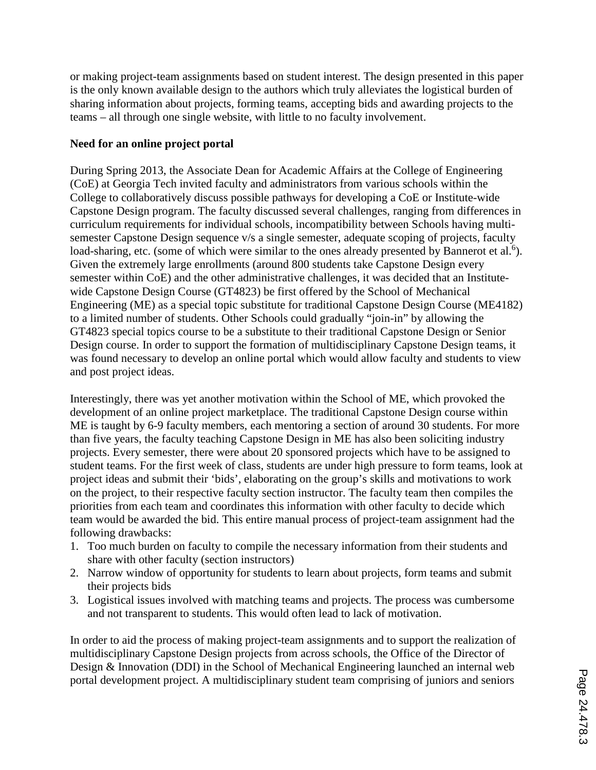or making project-team assignments based on student interest. The design presented in this paper is the only known available design to the authors which truly alleviates the logistical burden of sharing information about projects, forming teams, accepting bids and awarding projects to the teams – all through one single website, with little to no faculty involvement.

# **Need for an online project portal**

During Spring 2013, the Associate Dean for Academic Affairs at the College of Engineering (CoE) at Georgia Tech invited faculty and administrators from various schools within the College to collaboratively discuss possible pathways for developing a CoE or Institute-wide Capstone Design program. The faculty discussed several challenges, ranging from differences in curriculum requirements for individual schools, incompatibility between Schools having multisemester Capstone Design sequence v/s a single semester, adequate scoping of projects, faculty load-sharing, etc. (some of which were similar to the ones already presented by Bannerot et al.<sup>6</sup>). Given the extremely large enrollments (around 800 students take Capstone Design every semester within CoE) and the other administrative challenges, it was decided that an Institutewide Capstone Design Course (GT4823) be first offered by the School of Mechanical Engineering (ME) as a special topic substitute for traditional Capstone Design Course (ME4182) to a limited number of students. Other Schools could gradually "join-in" by allowing the GT4823 special topics course to be a substitute to their traditional Capstone Design or Senior Design course. In order to support the formation of multidisciplinary Capstone Design teams, it was found necessary to develop an online portal which would allow faculty and students to view and post project ideas.

Interestingly, there was yet another motivation within the School of ME, which provoked the development of an online project marketplace. The traditional Capstone Design course within ME is taught by 6-9 faculty members, each mentoring a section of around 30 students. For more than five years, the faculty teaching Capstone Design in ME has also been soliciting industry projects. Every semester, there were about 20 sponsored projects which have to be assigned to student teams. For the first week of class, students are under high pressure to form teams, look at project ideas and submit their 'bids', elaborating on the group's skills and motivations to work on the project, to their respective faculty section instructor. The faculty team then compiles the priorities from each team and coordinates this information with other faculty to decide which team would be awarded the bid. This entire manual process of project-team assignment had the following drawbacks:

- 1. Too much burden on faculty to compile the necessary information from their students and share with other faculty (section instructors)
- 2. Narrow window of opportunity for students to learn about projects, form teams and submit their projects bids
- 3. Logistical issues involved with matching teams and projects. The process was cumbersome and not transparent to students. This would often lead to lack of motivation.

In order to aid the process of making project-team assignments and to support the realization of multidisciplinary Capstone Design projects from across schools, the Office of the Director of Design & Innovation (DDI) in the School of Mechanical Engineering launched an internal web portal development project. A multidisciplinary student team comprising of juniors and seniors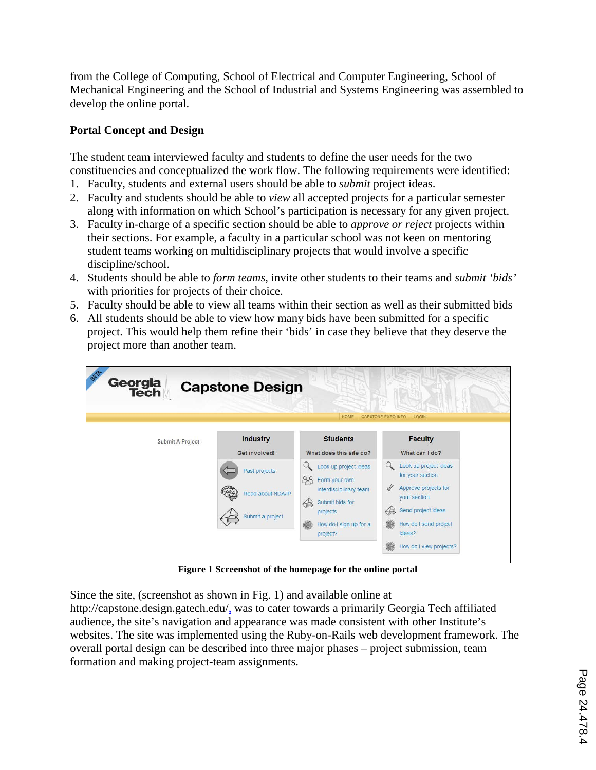from the College of Computing, School of Electrical and Computer Engineering, School of Mechanical Engineering and the School of Industrial and Systems Engineering was assembled to develop the online portal.

# **Portal Concept and Design**

The student team interviewed faculty and students to define the user needs for the two constituencies and conceptualized the work flow. The following requirements were identified:

- 1. Faculty, students and external users should be able to *submit* project ideas.
- 2. Faculty and students should be able to *view* all accepted projects for a particular semester along with information on which School's participation is necessary for any given project.
- 3. Faculty in-charge of a specific section should be able to *approve or reject* projects within their sections. For example, a faculty in a particular school was not keen on mentoring student teams working on multidisciplinary projects that would involve a specific discipline/school.
- 4. Students should be able to *form teams*, invite other students to their teams and *submit 'bids'* with priorities for projects of their choice.
- 5. Faculty should be able to view all teams within their section as well as their submitted bids
- 6. All students should be able to view how many bids have been submitted for a specific project. This would help them refine their 'bids' in case they believe that they deserve the project more than another team.

| Georgia<br>Tech  | <b>Capstone Design</b>                                 | HOME                                                                                                                                              | <b>CAPSTONE EXPO INFO.</b><br><b>LOGIN</b>                                                                                                               |
|------------------|--------------------------------------------------------|---------------------------------------------------------------------------------------------------------------------------------------------------|----------------------------------------------------------------------------------------------------------------------------------------------------------|
| Submit A Project | Industry<br>Get involved!                              | <b>Students</b><br>What does this site do?                                                                                                        | <b>Faculty</b><br>What can I do?                                                                                                                         |
|                  | Past projects<br>Read about NDA/IP<br>Submit a project | Look up project ideas<br>88<br>Form your own<br>interdisciplinary team<br>Submit bids for<br>43<br>projects<br>How do I sign up for a<br>project? | Look up project ideas<br>for your section<br>$\sqrt{ }$<br>Approve projects for<br>your section<br>Send project ideas<br>How do I send project<br>ideas? |
|                  |                                                        |                                                                                                                                                   | How do I view projects?                                                                                                                                  |

**Figure 1 Screenshot of the homepage for the online portal**

Since the site, (screenshot as shown in Fig. 1) and available online at http://capstone.design.gatech.edu/, was to cater towards a primarily Georgia Tech affiliated audience, the site's navigation and appearance was made consistent with other Institute's websites. The site was implemented using the Ruby-on-Rails web development framework. The overall portal design can be described into three major phases – project submission, team formation and making project-team assignments.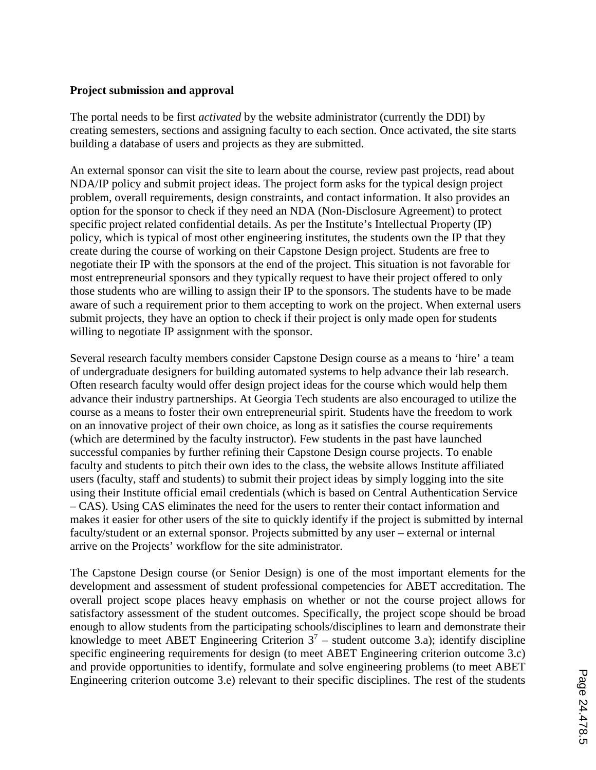## **Project submission and approval**

The portal needs to be first *activated* by the website administrator (currently the DDI) by creating semesters, sections and assigning faculty to each section. Once activated, the site starts building a database of users and projects as they are submitted.

An external sponsor can visit the site to learn about the course, review past projects, read about NDA/IP policy and submit project ideas. The project form asks for the typical design project problem, overall requirements, design constraints, and contact information. It also provides an option for the sponsor to check if they need an NDA (Non-Disclosure Agreement) to protect specific project related confidential details. As per the Institute's Intellectual Property (IP) policy, which is typical of most other engineering institutes, the students own the IP that they create during the course of working on their Capstone Design project. Students are free to negotiate their IP with the sponsors at the end of the project. This situation is not favorable for most entrepreneurial sponsors and they typically request to have their project offered to only those students who are willing to assign their IP to the sponsors. The students have to be made aware of such a requirement prior to them accepting to work on the project. When external users submit projects, they have an option to check if their project is only made open for students willing to negotiate IP assignment with the sponsor.

Several research faculty members consider Capstone Design course as a means to 'hire' a team of undergraduate designers for building automated systems to help advance their lab research. Often research faculty would offer design project ideas for the course which would help them advance their industry partnerships. At Georgia Tech students are also encouraged to utilize the course as a means to foster their own entrepreneurial spirit. Students have the freedom to work on an innovative project of their own choice, as long as it satisfies the course requirements (which are determined by the faculty instructor). Few students in the past have launched successful companies by further refining their Capstone Design course projects. To enable faculty and students to pitch their own ides to the class, the website allows Institute affiliated users (faculty, staff and students) to submit their project ideas by simply logging into the site using their Institute official email credentials (which is based on Central Authentication Service – CAS). Using CAS eliminates the need for the users to renter their contact information and makes it easier for other users of the site to quickly identify if the project is submitted by internal faculty/student or an external sponsor. Projects submitted by any user – external or internal arrive on the Projects' workflow for the site administrator.

The Capstone Design course (or Senior Design) is one of the most important elements for the development and assessment of student professional competencies for ABET accreditation. The overall project scope places heavy emphasis on whether or not the course project allows for satisfactory assessment of the student outcomes. Specifically, the project scope should be broad enough to allow students from the participating schools/disciplines to learn and demonstrate their knowledge to meet ABET Engineering Criterion  $3^7$  – student outcome 3.a); identify discipline specific engineering requirements for design (to meet ABET Engineering criterion outcome 3.c) and provide opportunities to identify, formulate and solve engineering problems (to meet ABET Engineering criterion outcome 3.e) relevant to their specific disciplines. The rest of the students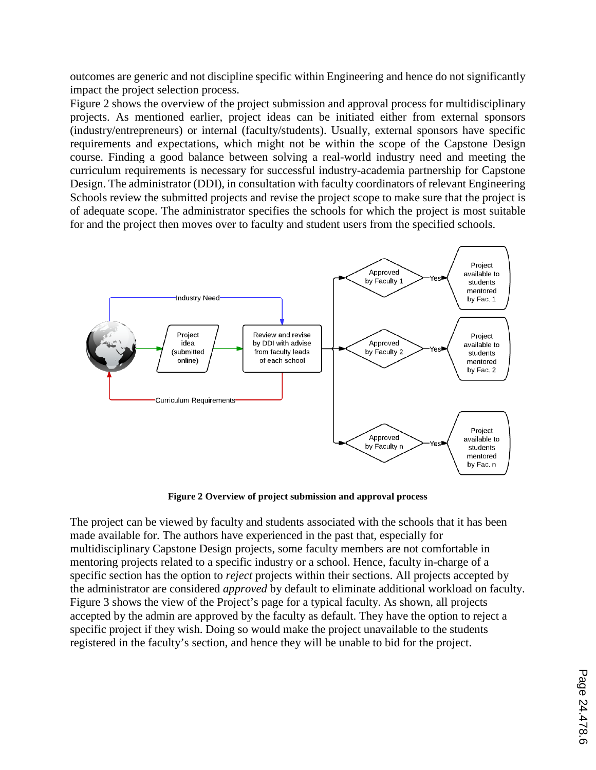outcomes are generic and not discipline specific within Engineering and hence do not significantly impact the project selection process.

Figure 2 shows the overview of the project submission and approval process for multidisciplinary projects. As mentioned earlier, project ideas can be initiated either from external sponsors (industry/entrepreneurs) or internal (faculty/students). Usually, external sponsors have specific requirements and expectations, which might not be within the scope of the Capstone Design course. Finding a good balance between solving a real-world industry need and meeting the curriculum requirements is necessary for successful industry-academia partnership for Capstone Design. The administrator (DDI), in consultation with faculty coordinators of relevant Engineering Schools review the submitted projects and revise the project scope to make sure that the project is of adequate scope. The administrator specifies the schools for which the project is most suitable for and the project then moves over to faculty and student users from the specified schools.



**Figure 2 Overview of project submission and approval process**

The project can be viewed by faculty and students associated with the schools that it has been made available for. The authors have experienced in the past that, especially for multidisciplinary Capstone Design projects, some faculty members are not comfortable in mentoring projects related to a specific industry or a school. Hence, faculty in-charge of a specific section has the option to *reject* projects within their sections. All projects accepted by the administrator are considered *approved* by default to eliminate additional workload on faculty. Figure 3 shows the view of the Project's page for a typical faculty. As shown, all projects accepted by the admin are approved by the faculty as default. They have the option to reject a specific project if they wish. Doing so would make the project unavailable to the students registered in the faculty's section, and hence they will be unable to bid for the project.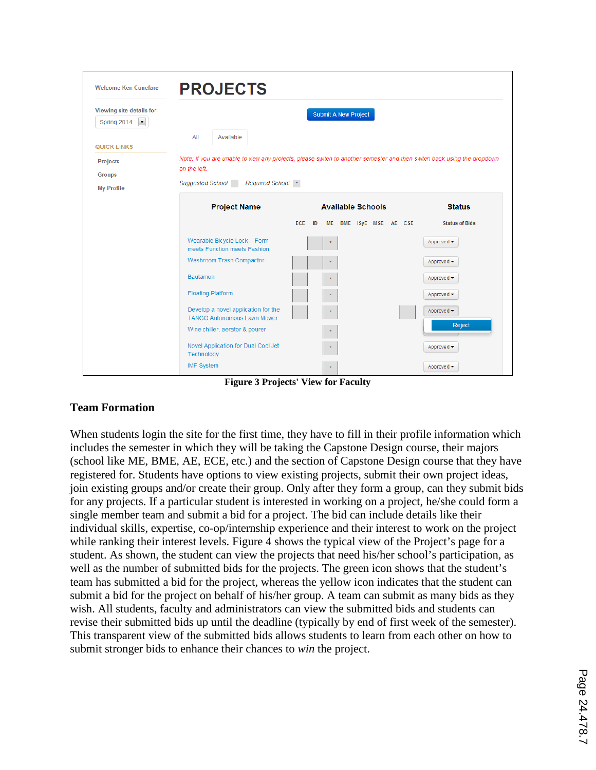| <b>Welcome Ken Cunefare</b>                                      | <b>PROJECTS</b>                                                           |                                                                                                                         |                       |
|------------------------------------------------------------------|---------------------------------------------------------------------------|-------------------------------------------------------------------------------------------------------------------------|-----------------------|
| Viewing site details for:<br>$\blacktriangledown$<br>Spring 2014 |                                                                           | <b>Submit A New Project</b>                                                                                             |                       |
| <b>QUICK LINKS</b>                                               | All<br>Available                                                          |                                                                                                                         |                       |
| <b>Projects</b><br><b>Groups</b>                                 | on the left.                                                              | Note: If you are unable to view any projects, please switch to another semester and then switch back using the dropdown |                       |
| <b>My Profile</b>                                                | Suggested School: Required School: *                                      |                                                                                                                         |                       |
|                                                                  | <b>Project Name</b>                                                       | <b>Available Schools</b>                                                                                                | <b>Status</b>         |
|                                                                  |                                                                           | ECE ID<br>ME BME ISyE MSE AE CSE                                                                                        | <b>Status of Bids</b> |
|                                                                  | Wearable Bicycle Lock - Form<br>meets Function meets Fashion              |                                                                                                                         | Approved -            |
|                                                                  | Washroom Trash Compactor                                                  |                                                                                                                         | Approved -            |
|                                                                  | Bautamon                                                                  |                                                                                                                         | Approved -            |
|                                                                  | <b>Floating Platform</b>                                                  |                                                                                                                         | Approved -            |
|                                                                  | Develop a novel application for the<br><b>TANGO Autonomous Lawn Mower</b> |                                                                                                                         | Approved -            |
|                                                                  | Wine chiller, aerator & pourer                                            |                                                                                                                         | Reject                |
|                                                                  | Novel Application for Dual Cool Jet<br>Technology                         | 4                                                                                                                       | Approved -            |
|                                                                  | <b>IMF System</b>                                                         | $\star$                                                                                                                 | Approved -            |

**Figure 3 Projects' View for Faculty**

# **Team Formation**

When students login the site for the first time, they have to fill in their profile information which includes the semester in which they will be taking the Capstone Design course, their majors (school like ME, BME, AE, ECE, etc.) and the section of Capstone Design course that they have registered for. Students have options to view existing projects, submit their own project ideas, join existing groups and/or create their group. Only after they form a group, can they submit bids for any projects. If a particular student is interested in working on a project, he/she could form a single member team and submit a bid for a project. The bid can include details like their individual skills, expertise, co-op/internship experience and their interest to work on the project while ranking their interest levels. Figure 4 shows the typical view of the Project's page for a student. As shown, the student can view the projects that need his/her school's participation, as well as the number of submitted bids for the projects. The green icon shows that the student's team has submitted a bid for the project, whereas the yellow icon indicates that the student can submit a bid for the project on behalf of his/her group. A team can submit as many bids as they wish. All students, faculty and administrators can view the submitted bids and students can revise their submitted bids up until the deadline (typically by end of first week of the semester). This transparent view of the submitted bids allows students to learn from each other on how to submit stronger bids to enhance their chances to *win* the project.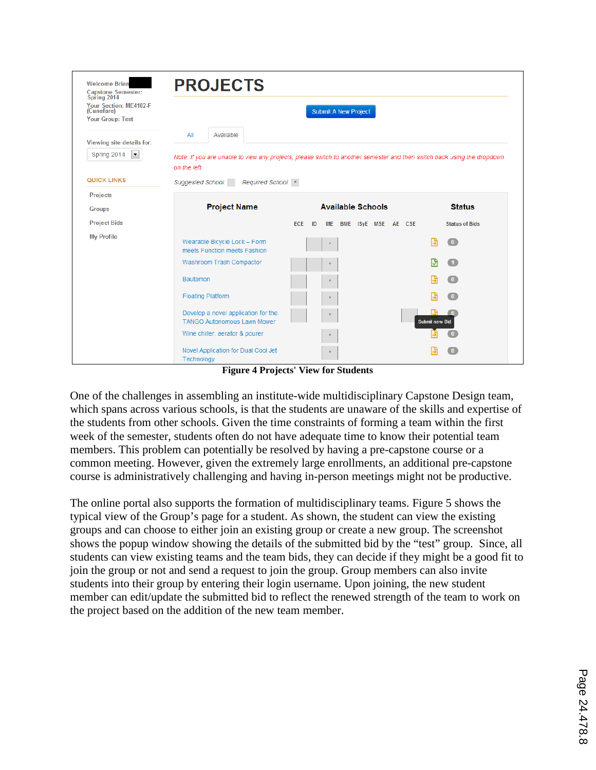| <b>Welcome Brian</b><br><b>Capstone Semester:</b>                              | <b>PROJECTS</b>                                                           |                                                                                                                         |                              |  |  |  |  |  |  |
|--------------------------------------------------------------------------------|---------------------------------------------------------------------------|-------------------------------------------------------------------------------------------------------------------------|------------------------------|--|--|--|--|--|--|
| Spring 2014<br>Your Section: ME4182-F<br>(Cunefare)<br><b>Your Group: Test</b> | <b>Submit A New Project</b>                                               |                                                                                                                         |                              |  |  |  |  |  |  |
| Viewing site details for:                                                      | All<br>Available                                                          |                                                                                                                         |                              |  |  |  |  |  |  |
| Spring 2014<br>$\vert \cdot \vert$                                             | on the left.                                                              | Note: If you are unable to view any projects, please switch to another semester and then switch back using the dropdown |                              |  |  |  |  |  |  |
| <b>QUICK LINKS</b>                                                             | <b>Suggested School:</b><br>Required School: *                            |                                                                                                                         |                              |  |  |  |  |  |  |
| <b>Projects</b>                                                                |                                                                           |                                                                                                                         |                              |  |  |  |  |  |  |
| <b>Groups</b>                                                                  | <b>Project Name</b>                                                       | <b>Available Schools</b>                                                                                                | <b>Status</b>                |  |  |  |  |  |  |
| <b>Project Bids</b>                                                            |                                                                           | <b>ECE</b><br>ID<br>BME ISyE MSE AE CSE<br>ME                                                                           | <b>Status of Bids</b>        |  |  |  |  |  |  |
| <b>My Profile</b>                                                              | Wearable Bicycle Lock - Form<br>meets Function meets Fashion              |                                                                                                                         | B<br>$\overline{\mathbf{0}}$ |  |  |  |  |  |  |
|                                                                                | Washroom Trash Compactor                                                  |                                                                                                                         |                              |  |  |  |  |  |  |
|                                                                                | Bautamon                                                                  |                                                                                                                         | $\overline{\mathbf{0}}$      |  |  |  |  |  |  |
|                                                                                | <b>Floating Platform</b>                                                  |                                                                                                                         |                              |  |  |  |  |  |  |
|                                                                                | Develop a novel application for the<br><b>TANGO Autonomous Lawn Mower</b> | $\star$                                                                                                                 | Submit new Bid               |  |  |  |  |  |  |
|                                                                                | Wine chiller, aerator & pourer                                            |                                                                                                                         |                              |  |  |  |  |  |  |
|                                                                                | Novel Application for Dual Cool Jet<br>Technology                         |                                                                                                                         |                              |  |  |  |  |  |  |

**Figure 4 Projects' View for Students**

One of the challenges in assembling an institute-wide multidisciplinary Capstone Design team, which spans across various schools, is that the students are unaware of the skills and expertise of the students from other schools. Given the time constraints of forming a team within the first week of the semester, students often do not have adequate time to know their potential team members. This problem can potentially be resolved by having a pre-capstone course or a common meeting. However, given the extremely large enrollments, an additional pre-capstone course is administratively challenging and having in-person meetings might not be productive.

The online portal also supports the formation of multidisciplinary teams. Figure 5 shows the typical view of the Group's page for a student. As shown, the student can view the existing groups and can choose to either join an existing group or create a new group. The screenshot shows the popup window showing the details of the submitted bid by the "test" group. Since, all students can view existing teams and the team bids, they can decide if they might be a good fit to join the group or not and send a request to join the group. Group members can also invite students into their group by entering their login username. Upon joining, the new student member can edit/update the submitted bid to reflect the renewed strength of the team to work on the project based on the addition of the new team member.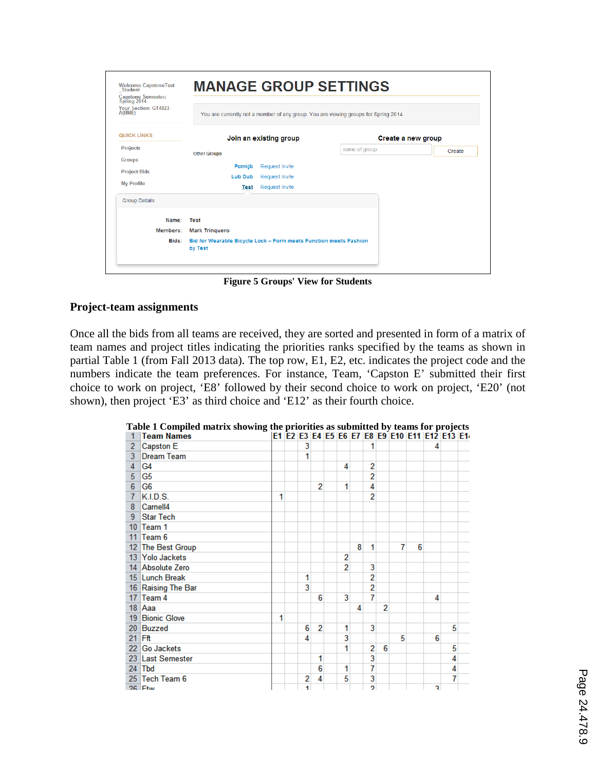| Welcome CapstoneTest<br>_Student<br><b>Capstone Semester:</b><br>Spring 2014<br>Your Section: GT4823- |                                                                                     |                        | <b>MANAGE GROUP SETTINGS</b> |                    |  |  |  |
|-------------------------------------------------------------------------------------------------------|-------------------------------------------------------------------------------------|------------------------|------------------------------|--------------------|--|--|--|
| A(BME)                                                                                                | You are currently not a member of any group. You are viewing groups for Spring 2014 |                        |                              |                    |  |  |  |
| <b>QUICK LINKS</b>                                                                                    |                                                                                     | Join an existing group |                              | Create a new group |  |  |  |
| <b>Projects</b>                                                                                       | <b>Other Groups</b>                                                                 |                        | name of group                | Create             |  |  |  |
| <b>Groups</b>                                                                                         |                                                                                     |                        |                              |                    |  |  |  |
| <b>Project Bids</b>                                                                                   | Pomkib                                                                              | Request Invite         |                              |                    |  |  |  |
| <b>My Profile</b>                                                                                     | <b>Lub Dub</b>                                                                      | <b>Request Invite</b>  |                              |                    |  |  |  |
|                                                                                                       | <b>Test</b>                                                                         | <b>Request Invite</b>  |                              |                    |  |  |  |
| <b>Group Details</b>                                                                                  |                                                                                     |                        |                              |                    |  |  |  |
| Name:                                                                                                 | Test                                                                                |                        |                              |                    |  |  |  |
| Members:                                                                                              | <b>Mark Tringuero</b>                                                               |                        |                              |                    |  |  |  |
| Bids:                                                                                                 | Bid for Wearable Bicycle Lock - Form meets Function meets Fashion<br>by Test        |                        |                              |                    |  |  |  |

**Figure 5 Groups' View for Students**

## **Project-team assignments**

Once all the bids from all teams are received, they are sorted and presented in form of a matrix of team names and project titles indicating the priorities ranks specified by the teams as shown in partial Table 1 (from Fall 2013 data). The top row, E1, E2, etc. indicates the project code and the numbers indicate the team preferences. For instance, Team, 'Capston E' submitted their first choice to work on project, 'E8' followed by their second choice to work on project, 'E20' (not shown), then project 'E3' as third choice and 'E12' as their fourth choice.

|                 | <b>Team Names</b>  |   |   |   |                |   |    |   |   | E1 E2 E3 E4 E5 E6 E7 E8 E9 E10 E11 E12 E13 E1 |   |   |  |
|-----------------|--------------------|---|---|---|----------------|---|----|---|---|-----------------------------------------------|---|---|--|
| $\overline{2}$  | Capston E          |   | 3 |   |                |   |    |   |   |                                               | 4 |   |  |
| 3               | <b>Dream Team</b>  |   | 1 |   |                |   |    |   |   |                                               |   |   |  |
| 4               | G4                 |   |   |   | 4              |   | 2  |   |   |                                               |   |   |  |
| 5               | G5                 |   |   |   |                |   | 2  |   |   |                                               |   |   |  |
| 6               | G <sub>6</sub>     |   |   | 2 | 1              |   | 4  |   |   |                                               |   |   |  |
| 7               | K.I.D.S.           | 1 |   |   |                |   | 2  |   |   |                                               |   |   |  |
| 8               | Carnell4           |   |   |   |                |   |    |   |   |                                               |   |   |  |
| 9               | <b>Star Tech</b>   |   |   |   |                |   |    |   |   |                                               |   |   |  |
| 10 <sup>°</sup> | Team 1             |   |   |   |                |   |    |   |   |                                               |   |   |  |
| 11 <sup>1</sup> | Team 6             |   |   |   |                |   |    |   |   |                                               |   |   |  |
|                 | 12 The Best Group  |   |   |   |                | 8 | 1  |   | 7 | 6                                             |   |   |  |
|                 | 13 Yolo Jackets    |   |   |   | 2              |   |    |   |   |                                               |   |   |  |
|                 | 14 Absolute Zero   |   |   |   | $\overline{2}$ |   | 3  |   |   |                                               |   |   |  |
|                 | 15 Lunch Break     |   | 1 |   |                |   | 2  |   |   |                                               |   |   |  |
|                 | 16 Raising The Bar |   | 3 |   |                |   | 2  |   |   |                                               |   |   |  |
|                 | 17 Team $4$        |   |   | 6 | 3              |   | 7  |   |   |                                               | 4 |   |  |
|                 | $18$ Aaa           |   |   |   |                | 4 |    | 2 |   |                                               |   |   |  |
|                 | 19 Bionic Glove    | 1 |   |   |                |   |    |   |   |                                               |   |   |  |
|                 | 20 Buzzed          |   | 6 | 2 | 1              |   | 3  |   |   |                                               |   | 5 |  |
|                 | $21$ Fft           |   | 4 |   | 3              |   |    |   | 5 |                                               | 6 |   |  |
|                 | 22 Go Jackets      |   |   |   |                |   | 2  | 6 |   |                                               |   | 5 |  |
|                 | 23 Last Semester   |   |   | 1 |                |   | 3  |   |   |                                               |   | 4 |  |
|                 | $24$ Tbd           |   |   | 6 | 1              |   | 7  |   |   |                                               |   | 4 |  |
|                 | 25 Tech Team 6     |   | 2 | 4 | 5              |   | 3  |   |   |                                               |   | 7 |  |
|                 | 26 Ftw             |   | 4 |   |                |   | o, |   |   |                                               | ٩ |   |  |

**Table 1 Compiled matrix showing the priorities as submitted by teams for projects**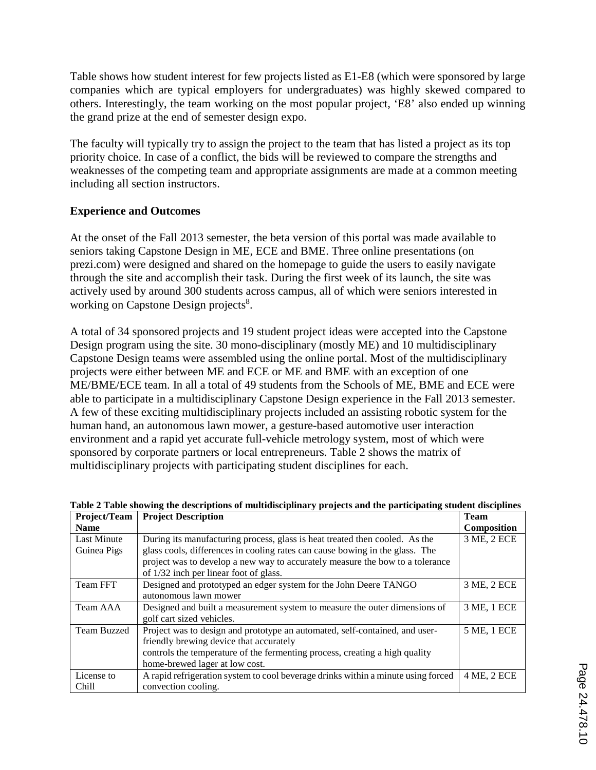Table shows how student interest for few projects listed as E1-E8 (which were sponsored by large companies which are typical employers for undergraduates) was highly skewed compared to others. Interestingly, the team working on the most popular project, 'E8' also ended up winning the grand prize at the end of semester design expo.

The faculty will typically try to assign the project to the team that has listed a project as its top priority choice. In case of a conflict, the bids will be reviewed to compare the strengths and weaknesses of the competing team and appropriate assignments are made at a common meeting including all section instructors.

# **Experience and Outcomes**

At the onset of the Fall 2013 semester, the beta version of this portal was made available to seniors taking Capstone Design in ME, ECE and BME. Three online presentations (on prezi.com) were designed and shared on the homepage to guide the users to easily navigate through the site and accomplish their task. During the first week of its launch, the site was actively used by around 300 students across campus, all of which were seniors interested in working on Capstone Design projects<sup>8</sup>.

A total of 34 sponsored projects and 19 student project ideas were accepted into the Capstone Design program using the site. 30 mono-disciplinary (mostly ME) and 10 multidisciplinary Capstone Design teams were assembled using the online portal. Most of the multidisciplinary projects were either between ME and ECE or ME and BME with an exception of one ME/BME/ECE team. In all a total of 49 students from the Schools of ME, BME and ECE were able to participate in a multidisciplinary Capstone Design experience in the Fall 2013 semester. A few of these exciting multidisciplinary projects included an assisting robotic system for the human hand, an autonomous lawn mower, a gesture-based automotive user interaction environment and a rapid yet accurate full-vehicle metrology system, most of which were sponsored by corporate partners or local entrepreneurs. Table 2 shows the matrix of multidisciplinary projects with participating student disciplines for each.

| Project/Team       | <b>Project Description</b>                                                        | <b>Team</b>        |
|--------------------|-----------------------------------------------------------------------------------|--------------------|
| <b>Name</b>        |                                                                                   | <b>Composition</b> |
| Last Minute        | During its manufacturing process, glass is heat treated then cooled. As the       | 3 ME, 2 ECE        |
| Guinea Pigs        | glass cools, differences in cooling rates can cause bowing in the glass. The      |                    |
|                    | project was to develop a new way to accurately measure the bow to a tolerance     |                    |
|                    | of 1/32 inch per linear foot of glass.                                            |                    |
| Team FFT           | Designed and prototyped an edger system for the John Deere TANGO                  | 3 ME, 2 ECE        |
|                    | autonomous lawn mower                                                             |                    |
| Team AAA           | Designed and built a measurement system to measure the outer dimensions of        | 3 ME, 1 ECE        |
|                    | golf cart sized vehicles.                                                         |                    |
| <b>Team Buzzed</b> | Project was to design and prototype an automated, self-contained, and user-       | 5 ME, 1 ECE        |
|                    | friendly brewing device that accurately                                           |                    |
|                    | controls the temperature of the fermenting process, creating a high quality       |                    |
|                    | home-brewed lager at low cost.                                                    |                    |
| License to         | A rapid refrigeration system to cool beverage drinks within a minute using forced | 4 ME, 2 ECE        |
| Chill              | convection cooling.                                                               |                    |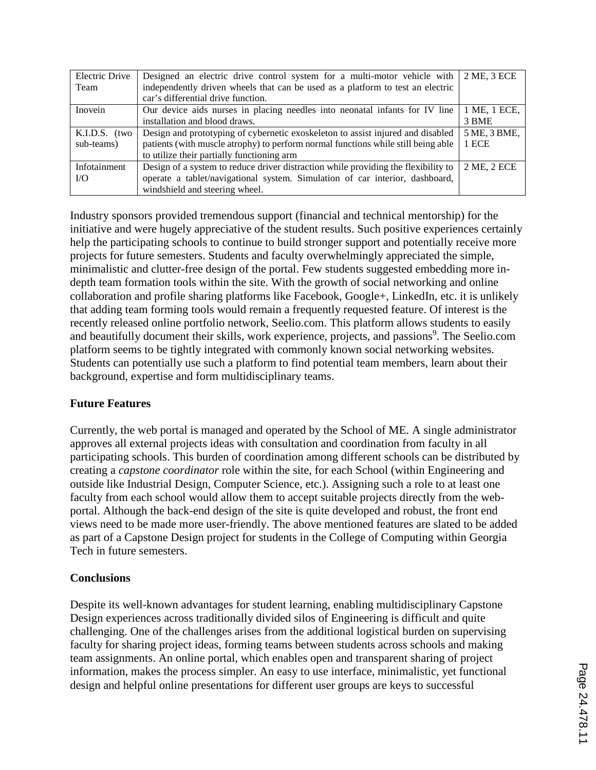| Electric Drive | Designed an electric drive control system for a multi-motor vehicle with           | 2 ME, 3 ECE  |
|----------------|------------------------------------------------------------------------------------|--------------|
| Team           | independently driven wheels that can be used as a platform to test an electric     |              |
|                | car's differential drive function.                                                 |              |
| Inovein        | Our device aids nurses in placing needles into neonatal infants for IV line        | 1 ME, 1 ECE, |
|                | installation and blood draws.                                                      | 3 BME        |
| K.I.D.S. (two  | Design and prototyping of cybernetic exoskeleton to assist injured and disabled    | 5 ME, 3 BME, |
| sub-teams)     | patients (with muscle atrophy) to perform normal functions while still being able  | 1 ECE        |
|                | to utilize their partially functioning arm                                         |              |
| Infotainment   | Design of a system to reduce driver distraction while providing the flexibility to | 2 ME, 2 ECE  |
| I/O            | operate a tablet/navigational system. Simulation of car interior, dashboard,       |              |
|                | windshield and steering wheel.                                                     |              |

Industry sponsors provided tremendous support (financial and technical mentorship) for the initiative and were hugely appreciative of the student results. Such positive experiences certainly help the participating schools to continue to build stronger support and potentially receive more projects for future semesters. Students and faculty overwhelmingly appreciated the simple, minimalistic and clutter-free design of the portal. Few students suggested embedding more indepth team formation tools within the site. With the growth of social networking and online collaboration and profile sharing platforms like Facebook, Google+, LinkedIn, etc. it is unlikely that adding team forming tools would remain a frequently requested feature. Of interest is the recently released online portfolio network, Seelio.com. This platform allows students to easily and beautifully document their skills, work experience, projects, and passions<sup>9</sup>. The Seelio.com platform seems to be tightly integrated with commonly known social networking websites. Students can potentially use such a platform to find potential team members, learn about their background, expertise and form multidisciplinary teams.

# **Future Features**

Currently, the web portal is managed and operated by the School of ME. A single administrator approves all external projects ideas with consultation and coordination from faculty in all participating schools. This burden of coordination among different schools can be distributed by creating a *capstone coordinator* role within the site, for each School (within Engineering and outside like Industrial Design, Computer Science, etc.). Assigning such a role to at least one faculty from each school would allow them to accept suitable projects directly from the webportal. Although the back-end design of the site is quite developed and robust, the front end views need to be made more user-friendly. The above mentioned features are slated to be added as part of a Capstone Design project for students in the College of Computing within Georgia Tech in future semesters.

# **Conclusions**

Despite its well-known advantages for student learning, enabling multidisciplinary Capstone Design experiences across traditionally divided silos of Engineering is difficult and quite challenging. One of the challenges arises from the additional logistical burden on supervising faculty for sharing project ideas, forming teams between students across schools and making team assignments. An online portal, which enables open and transparent sharing of project information, makes the process simpler. An easy to use interface, minimalistic, yet functional design and helpful online presentations for different user groups are keys to successful